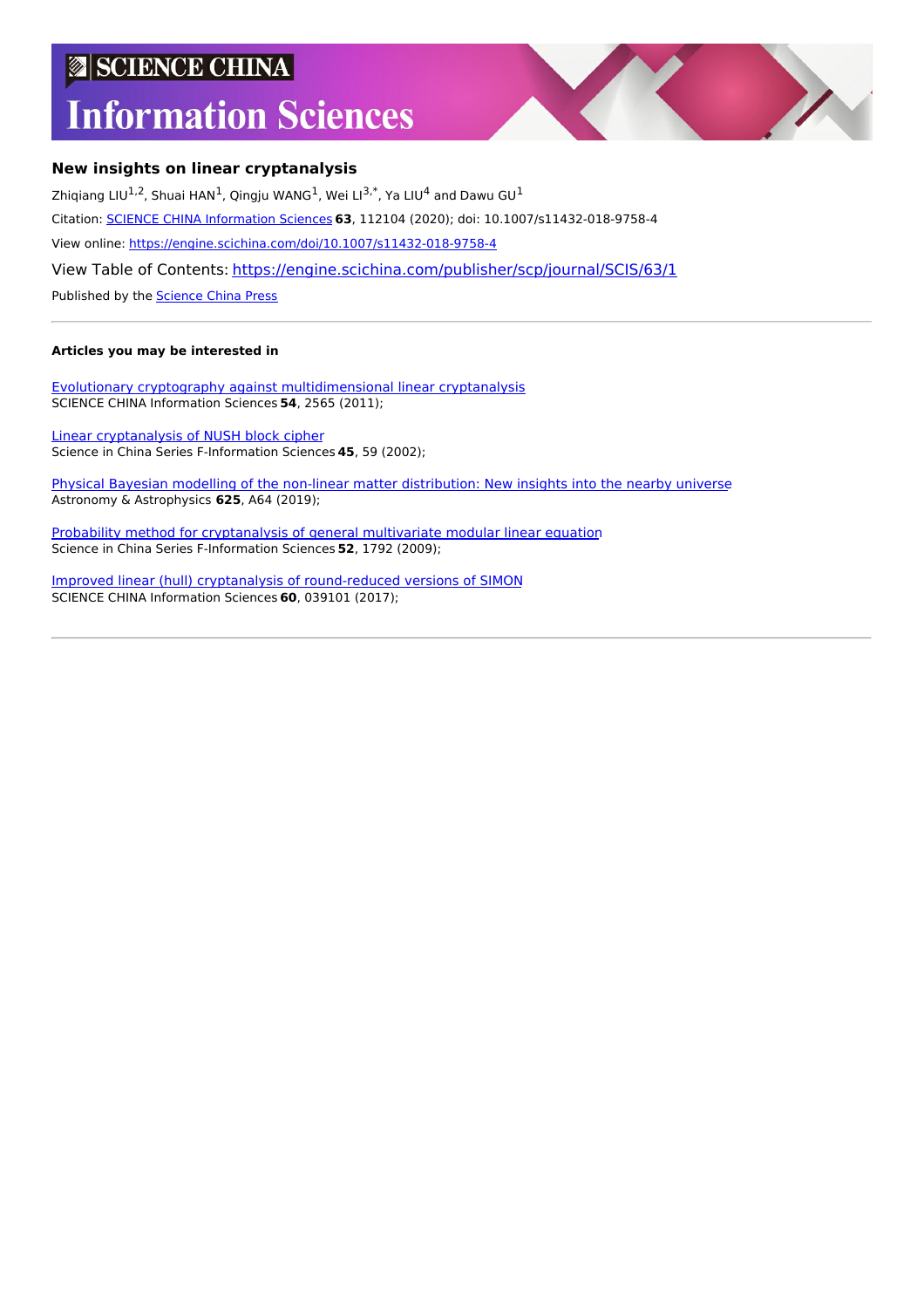# **SCIENCE CHINA**

# **Information Sciences**



# **New insights on linear cryptanalysis**

Zhiqiang LIU<sup>1,2</sup>, Shuai HAN<sup>1</sup>, Qingju WANG<sup>1</sup>, Wei LI<sup>3,\*</sup>, Ya LIU<sup>4</sup> and Dawu GU<sup>1</sup> Citation: SCIENCE CHINA [Information](https://engine.scichina.com/publisher/scp/journal/SCIS) Sciences **63**, 112104 (2020); doi: 10.1007/s11432-018-9758-4 View online: <https://engine.scichina.com/doi/10.1007/s11432-018-9758-4> View Table of Contents: <https://engine.scichina.com/publisher/scp/journal/SCIS/63/1> Published by the [Science](https://engine.scichina.com/publisher/scp) China Press

# **Articles you may be interested in**

Evolutionary cryptography against [multidimensional](https://engine.scichina.com/doi/10.1007/s11432-011-4494-2) linear cryptanalysis SCIENCE CHINA Information Sciences **54**, 2565 (2011);

Linear [cryptanalysis](https://engine.scichina.com/doi/10.1360/02yf9005) of NUSH block cipher Science in China Series F-Information Sciences **45**, 59 (2002);

Physical Bayesian modelling of the non-linear matter [distribution:](https://engine.scichina.com/doi/10.1051/0004-6361/201833710) New insights into the nearby universe Astronomy & Astrophysics **625**, A64 (2019);

Probability method for [cryptanalysis](https://engine.scichina.com/doi/10.1007/s11432-009-0159-9) of general multivariate modular linear equation Science in China Series F-Information Sciences **52**, 1792 (2009);

Improved linear (hull) cryptanalysis of [round-reduced](https://engine.scichina.com/doi/10.1007/s11432-015-0007-1) versions of SIMON SCIENCE CHINA Information Sciences **60**, 039101 (2017);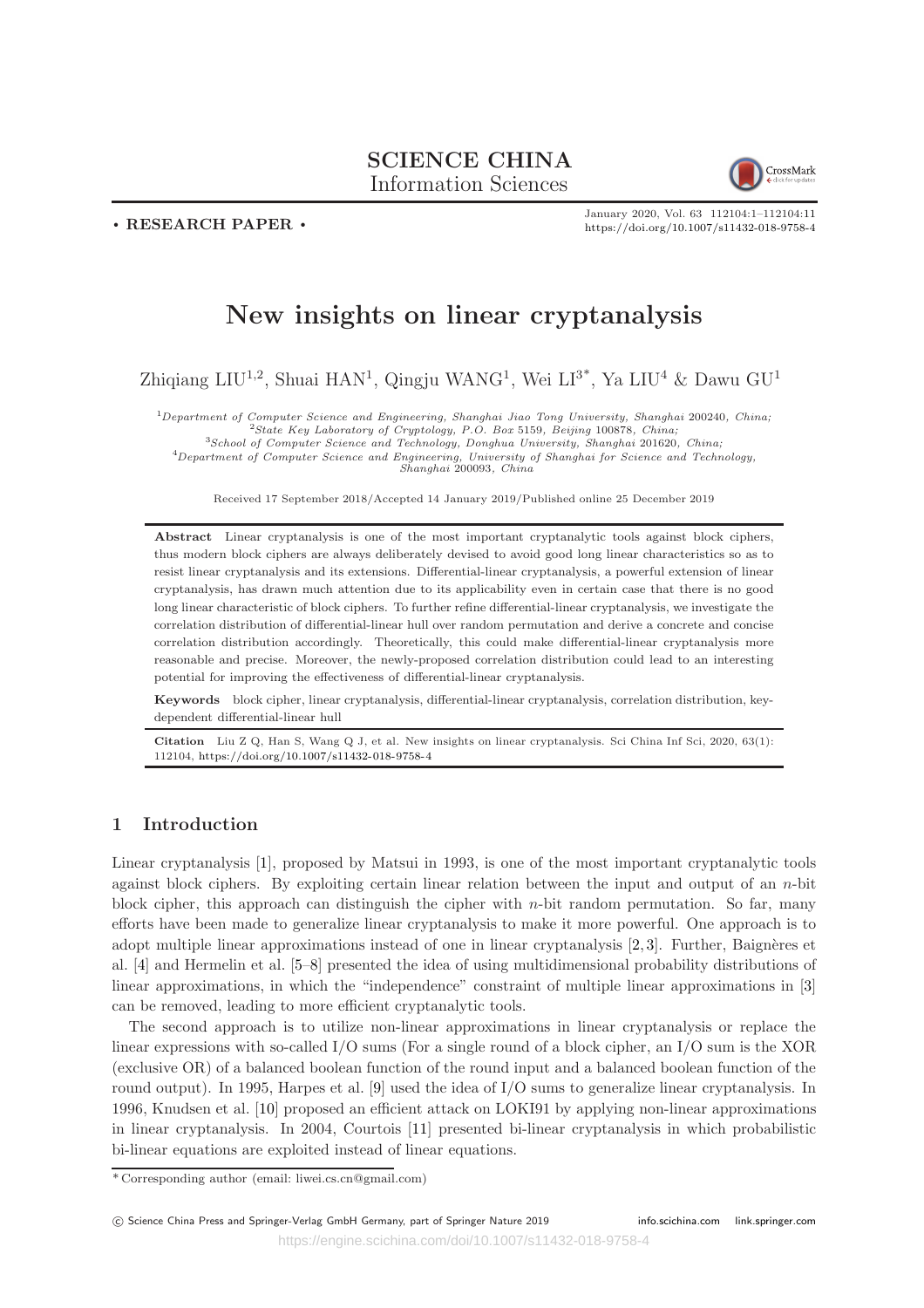# SCIENCE CHINA Information Sciences



. RESEARCH PAPER .

January 2020, Vol. 63 112104:1–112104:11 <https://doi.org/10.1007/s11432-018-9758-4>

# New insights on linear cryptanalysis

Zhiqiang LIU<sup>1,2</sup>, Shuai HAN<sup>1</sup>, Qingju WANG<sup>1</sup>, Wei LI<sup>3\*</sup>, Ya LIU<sup>4</sup> & Dawu GU<sup>1</sup>

 $1$ Department of Computer Science and Engineering, Shanghai Jiao Tong University, Shanghai 200240, China; <sup>2</sup>State Key Laboratory of Cryptology, P.O. Box 5159, Beijing 100878, China; <sup>3</sup>School of Computer Science and Technology, Donghua University, Shanghai 201620, China;

<sup>4</sup>Department of Computer Science and Engineering, University of Shanghai for Science and Technology, Shanghai 200093, China

Received 17 September 2018/Accepted 14 January 2019/Published online 25 December 2019

Abstract Linear cryptanalysis is one of the most important cryptanalytic tools against block ciphers, thus modern block ciphers are always deliberately devised to avoid good long linear characteristics so as to resist linear cryptanalysis and its extensions. Differential-linear cryptanalysis, a powerful extension of linear cryptanalysis, has drawn much attention due to its applicability even in certain case that there is no good long linear characteristic of block ciphers. To further refine differential-linear cryptanalysis, we investigate the correlation distribution of differential-linear hull over random permutation and derive a concrete and concise correlation distribution accordingly. Theoretically, this could make differential-linear cryptanalysis more reasonable and precise. Moreover, the newly-proposed correlation distribution could lead to an interesting potential for improving the effectiveness of differential-linear cryptanalysis.

Keywords block cipher, linear cryptanalysis, differential-linear cryptanalysis, correlation distribution, keydependent differential-linear hull

Citation Liu Z Q, Han S, Wang Q J, et al. New insights on linear cryptanalysis. Sci China Inf Sci, 2020, 63(1): 112104, <https://doi.org/10.1007/s11432-018-9758-4>

# 1 Introduction

Linear cryptanalysis [1], proposed by Matsui in 1993, is one of the most important cryptanalytic tools against block ciphers. By exploiting certain linear relation between the input and output of an n-bit block cipher, this approach can distinguish the cipher with  $n$ -bit random permutation. So far, many efforts have been made to generalize linear cryptanalysis to make it more powerful. One approach is to adopt multiple linear approximations instead of one in linear cryptanalysis  $[2, 3]$ . Further, Baignères et al. [4] and Hermelin et al. [5–8] presented the idea of using multidimensional probability distributions of linear approximations, in which the "independence" constraint of multiple linear approximations in [3] can be removed, leading to more efficient cryptanalytic tools.

The second approach is to utilize non-linear approximations in linear cryptanalysis or replace the linear expressions with so-called I/O sums (For a single round of a block cipher, an I/O sum is the XOR (exclusive OR) of a balanced boolean function of the round input and a balanced boolean function of the round output). In 1995, Harpes et al. [9] used the idea of I/O sums to generalize linear cryptanalysis. In 1996, Knudsen et al. [10] proposed an efficient attack on LOKI91 by applying non-linear approximations in linear cryptanalysis. In 2004, Courtois [11] presented bi-linear cryptanalysis in which probabilistic bi-linear equations are exploited instead of linear equations.

<sup>\*</sup> Corresponding author (email: liwei.cs.cn@gmail.com)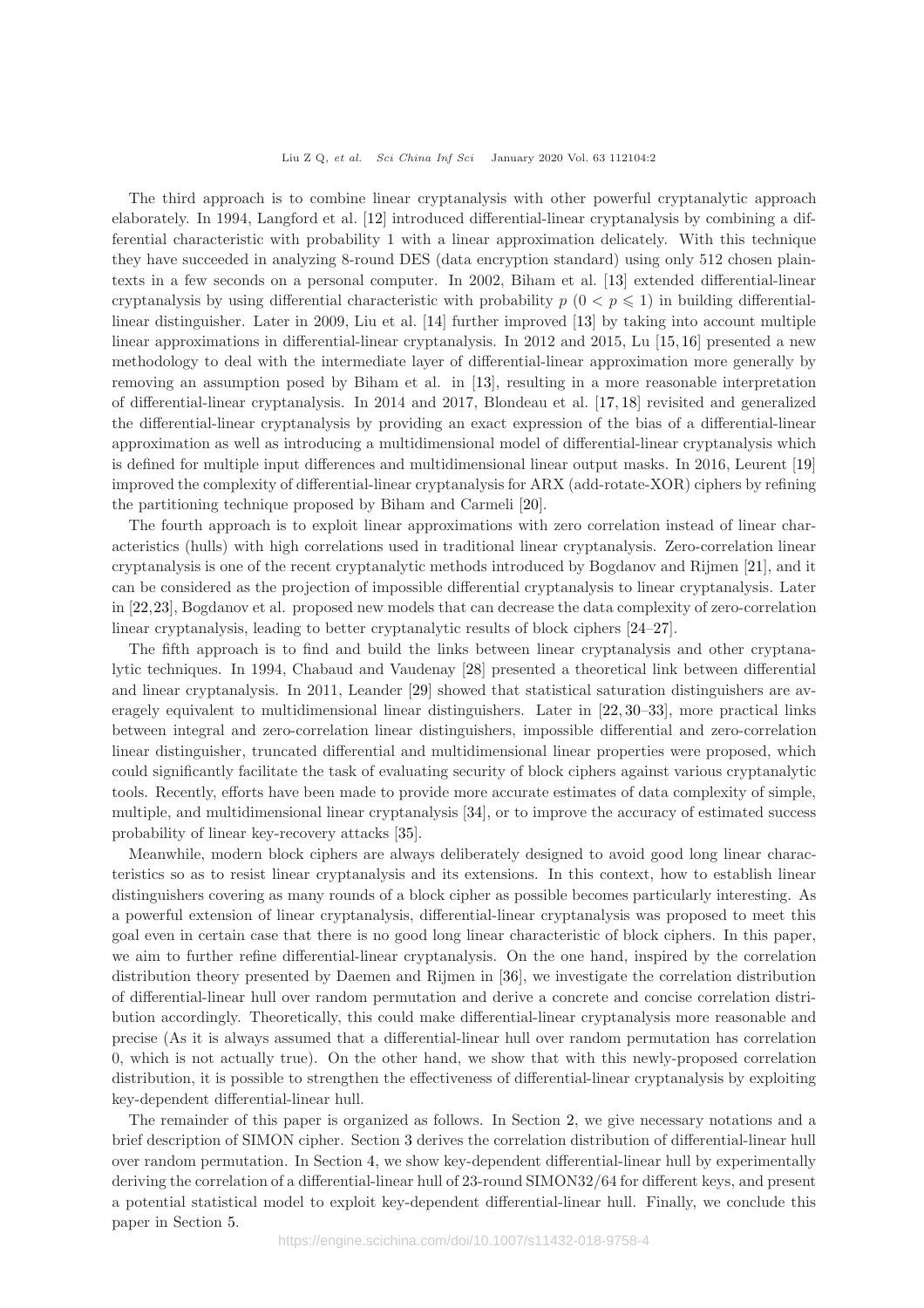The third approach is to combine linear cryptanalysis with other powerful cryptanalytic approach elaborately. In 1994, Langford et al. [12] introduced differential-linear cryptanalysis by combining a differential characteristic with probability 1 with a linear approximation delicately. With this technique they have succeeded in analyzing 8-round DES (data encryption standard) using only 512 chosen plaintexts in a few seconds on a personal computer. In 2002, Biham et al. [13] extended differential-linear cryptanalysis by using differential characteristic with probability  $p$  ( $0 < p \le 1$ ) in building differentiallinear distinguisher. Later in 2009, Liu et al. [14] further improved [13] by taking into account multiple linear approximations in differential-linear cryptanalysis. In 2012 and 2015, Lu [15, 16] presented a new methodology to deal with the intermediate layer of differential-linear approximation more generally by removing an assumption posed by Biham et al. in [13], resulting in a more reasonable interpretation of differential-linear cryptanalysis. In 2014 and 2017, Blondeau et al. [17, 18] revisited and generalized the differential-linear cryptanalysis by providing an exact expression of the bias of a differential-linear approximation as well as introducing a multidimensional model of differential-linear cryptanalysis which is defined for multiple input differences and multidimensional linear output masks. In 2016, Leurent [19] improved the complexity of differential-linear cryptanalysis for ARX (add-rotate-XOR) ciphers by refining the partitioning technique proposed by Biham and Carmeli [20].

The fourth approach is to exploit linear approximations with zero correlation instead of linear characteristics (hulls) with high correlations used in traditional linear cryptanalysis. Zero-correlation linear cryptanalysis is one of the recent cryptanalytic methods introduced by Bogdanov and Rijmen [21], and it can be considered as the projection of impossible differential cryptanalysis to linear cryptanalysis. Later in [22,23], Bogdanov et al. proposed new models that can decrease the data complexity of zero-correlation linear cryptanalysis, leading to better cryptanalytic results of block ciphers [24–27].

The fifth approach is to find and build the links between linear cryptanalysis and other cryptanalytic techniques. In 1994, Chabaud and Vaudenay [28] presented a theoretical link between differential and linear cryptanalysis. In 2011, Leander [29] showed that statistical saturation distinguishers are averagely equivalent to multidimensional linear distinguishers. Later in [22, 30–33], more practical links between integral and zero-correlation linear distinguishers, impossible differential and zero-correlation linear distinguisher, truncated differential and multidimensional linear properties were proposed, which could significantly facilitate the task of evaluating security of block ciphers against various cryptanalytic tools. Recently, efforts have been made to provide more accurate estimates of data complexity of simple, multiple, and multidimensional linear cryptanalysis [34], or to improve the accuracy of estimated success probability of linear key-recovery attacks [35].

Meanwhile, modern block ciphers are always deliberately designed to avoid good long linear characteristics so as to resist linear cryptanalysis and its extensions. In this context, how to establish linear distinguishers covering as many rounds of a block cipher as possible becomes particularly interesting. As a powerful extension of linear cryptanalysis, differential-linear cryptanalysis was proposed to meet this goal even in certain case that there is no good long linear characteristic of block ciphers. In this paper, we aim to further refine differential-linear cryptanalysis. On the one hand, inspired by the correlation distribution theory presented by Daemen and Rijmen in [36], we investigate the correlation distribution of differential-linear hull over random permutation and derive a concrete and concise correlation distribution accordingly. Theoretically, this could make differential-linear cryptanalysis more reasonable and precise (As it is always assumed that a differential-linear hull over random permutation has correlation 0, which is not actually true). On the other hand, we show that with this newly-proposed correlation distribution, it is possible to strengthen the effectiveness of differential-linear cryptanalysis by exploiting key-dependent differential-linear hull.

The remainder of this paper is organized as follows. In Section 2, we give necessary notations and a brief description of SIMON cipher. Section 3 derives the correlation distribution of differential-linear hull over random permutation. In Section 4, we show key-dependent differential-linear hull by experimentally deriving the correlation of a differential-linear hull of 23-round SIMON32/64 for different keys, and present a potential statistical model to exploit key-dependent differential-linear hull. Finally, we conclude this paper in Section 5.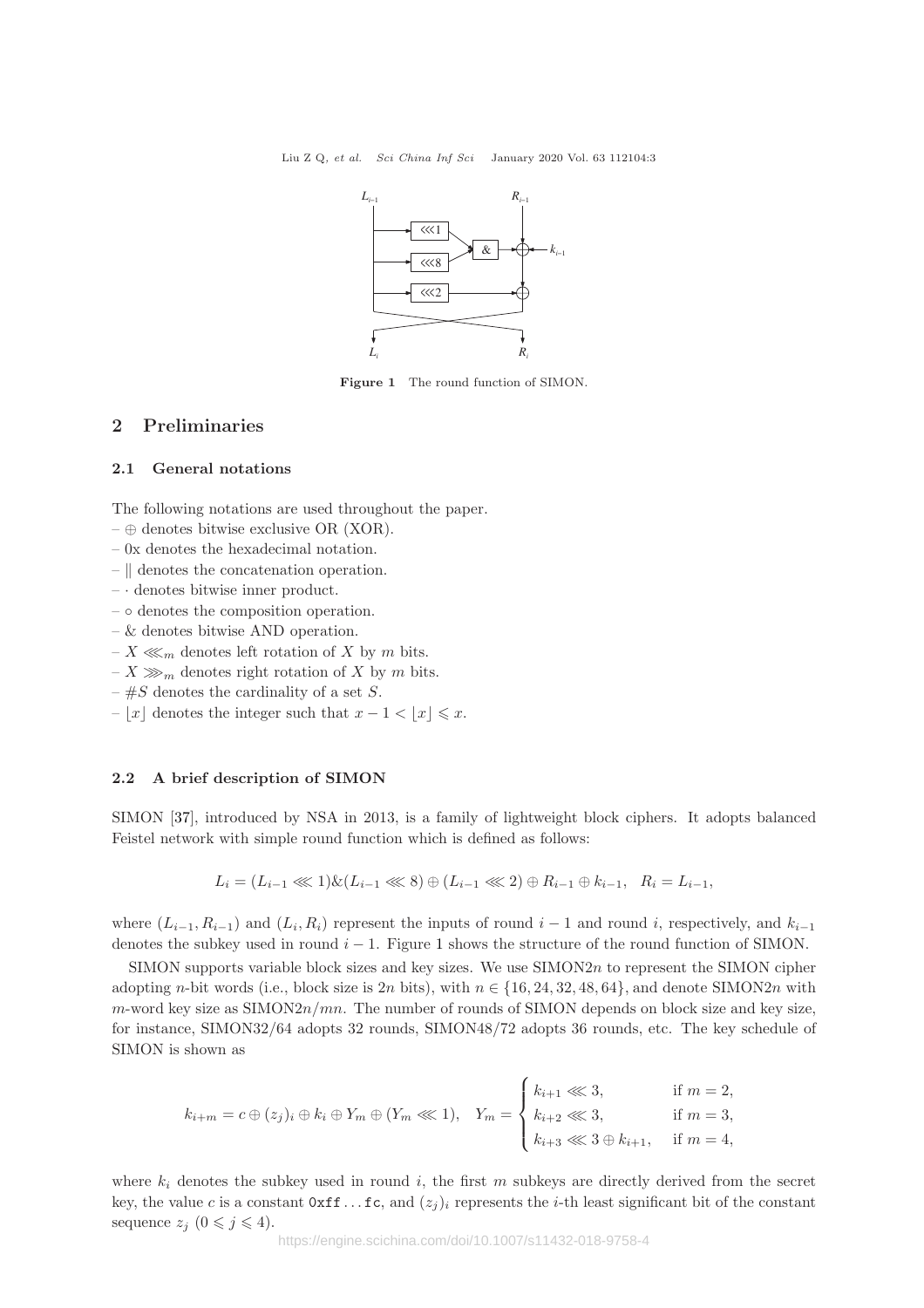

Figure 1 The round function of SIMON.

# 2 Preliminaries

#### 2.1 General notations

The following notations are used throughout the paper.

- $\oplus$  denotes bitwise exclusive OR (XOR).
- 0x denotes the hexadecimal notation.
- $-$  || denotes the concatenation operation.
- · denotes bitwise inner product.
- ◦ denotes the composition operation.
- & denotes bitwise AND operation.
- $X \ll m$  denotes left rotation of X by m bits.
- $-X \gg_{m}$  denotes right rotation of X by m bits.
- $-$  #S denotes the cardinality of a set S.
- |x| denotes the integer such that  $x 1 < |x| \le x$ .

## 2.2 A brief description of SIMON

SIMON [37], introduced by NSA in 2013, is a family of lightweight block ciphers. It adopts balanced Feistel network with simple round function which is defined as follows:

$$
L_i = (L_{i-1} \ll 1) \& (L_{i-1} \ll 8) \oplus (L_{i-1} \ll 2) \oplus R_{i-1} \oplus k_{i-1}, \quad R_i = L_{i-1},
$$

where  $(L_{i-1}, R_{i-1})$  and  $(L_i, R_i)$  represent the inputs of round  $i-1$  and round i, respectively, and  $k_{i-1}$ denotes the subkey used in round  $i - 1$ . Figure 1 shows the structure of the round function of SIMON.

 $SIMON$  supports variable block sizes and key sizes. We use  $SIMON2n$  to represent the SIMON cipher adopting n-bit words (i.e., block size is 2n bits), with  $n \in \{16, 24, 32, 48, 64\}$ , and denote SIMON2n with  $m$ -word key size as SIMON $2n/mn$ . The number of rounds of SIMON depends on block size and key size, for instance, SIMON32/64 adopts 32 rounds, SIMON48/72 adopts 36 rounds, etc. The key schedule of SIMON is shown as

$$
k_{i+m} = c \oplus (z_j)_i \oplus k_i \oplus Y_m \oplus (Y_m \lll 1), \quad Y_m = \begin{cases} k_{i+1} \lll 3, & \text{if } m = 2, \\ k_{i+2} \lll 3, & \text{if } m = 3, \\ k_{i+3} \lll 3 \oplus k_{i+1}, & \text{if } m = 4, \end{cases}
$$

where  $k_i$  denotes the subkey used in round i, the first m subkeys are directly derived from the secret key, the value c is a constant  $0 \times f$ . . . fc, and  $(z_i)_i$  represents the *i*-th least significant bit of the constant sequence  $z_j$   $(0 \leq j \leq 4)$ .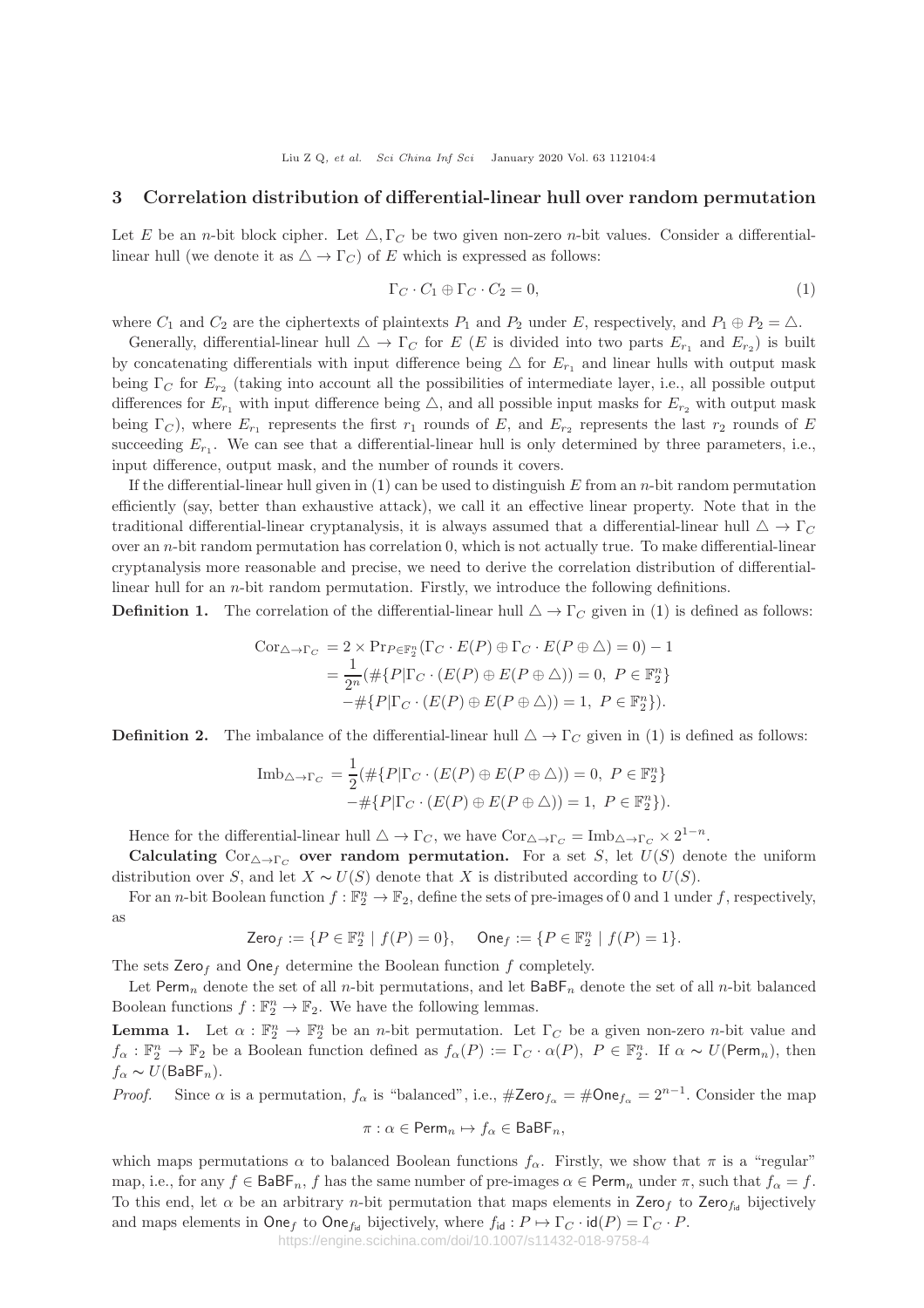#### 3 Correlation distribution of differential-linear hull over random permutation

Let E be an n-bit block cipher. Let  $\triangle$ ,  $\Gamma_C$  be two given non-zero n-bit values. Consider a differentiallinear hull (we denote it as  $\triangle \rightarrow \Gamma_C$ ) of E which is expressed as follows:

$$
\Gamma_C \cdot C_1 \oplus \Gamma_C \cdot C_2 = 0,\tag{1}
$$

where  $C_1$  and  $C_2$  are the ciphertexts of plaintexts  $P_1$  and  $P_2$  under E, respectively, and  $P_1 \oplus P_2 = \triangle$ .

Generally, differential-linear hull  $\Delta \to \Gamma_C$  for E (E is divided into two parts  $E_{r_1}$  and  $E_{r_2}$ ) is built by concatenating differentials with input difference being  $\triangle$  for  $E_{r_1}$  and linear hulls with output mask being  $\Gamma_C$  for  $E_{r_2}$  (taking into account all the possibilities of intermediate layer, i.e., all possible output differences for  $E_{r_1}$  with input difference being  $\triangle$ , and all possible input masks for  $E_{r_2}$  with output mask being  $\Gamma_C$ ), where  $E_{r_1}$  represents the first  $r_1$  rounds of E, and  $E_{r_2}$  represents the last  $r_2$  rounds of E succeeding  $E_{r_1}$ . We can see that a differential-linear hull is only determined by three parameters, i.e., input difference, output mask, and the number of rounds it covers.

If the differential-linear hull given in  $(1)$  can be used to distinguish E from an n-bit random permutation efficiently (say, better than exhaustive attack), we call it an effective linear property. Note that in the traditional differential-linear cryptanalysis, it is always assumed that a differential-linear hull  $\Delta \to \Gamma_C$ over an  $n$ -bit random permutation has correlation 0, which is not actually true. To make differential-linear cryptanalysis more reasonable and precise, we need to derive the correlation distribution of differentiallinear hull for an n-bit random permutation. Firstly, we introduce the following definitions.

**Definition 1.** The correlation of the differential-linear hull  $\Delta \rightarrow \Gamma_C$  given in (1) is defined as follows:

$$
Cor_{\triangle \to \Gamma_C} = 2 \times \Pr_{P \in \mathbb{F}_2^n}(\Gamma_C \cdot E(P) \oplus \Gamma_C \cdot E(P \oplus \triangle) = 0) - 1
$$
  
= 
$$
\frac{1}{2^n} (\# \{P | \Gamma_C \cdot (E(P) \oplus E(P \oplus \triangle)) = 0, \ P \in \mathbb{F}_2^n \}
$$
  

$$
-\# \{P | \Gamma_C \cdot (E(P) \oplus E(P \oplus \triangle)) = 1, \ P \in \mathbb{F}_2^n \}).
$$

**Definition 2.** The imbalance of the differential-linear hull  $\Delta \rightarrow \Gamma_C$  given in (1) is defined as follows:

$$
\text{Imb}_{\triangle \to \Gamma_C} = \frac{1}{2} (\# \{ P | \Gamma_C \cdot (E(P) \oplus E(P \oplus \triangle)) = 0, \ P \in \mathbb{F}_2^n \} - \# \{ P | \Gamma_C \cdot (E(P) \oplus E(P \oplus \triangle)) = 1, \ P \in \mathbb{F}_2^n \}).
$$

Hence for the differential-linear hull  $\triangle \to \Gamma_C$ , we have  $Cor_{\triangle \to \Gamma_C} = Imb_{\triangle \to \Gamma_C} \times 2^{1-n}$ .

Calculating  $Cor_{\Delta \to \Gamma_C}$  over random permutation. For a set S, let  $U(S)$  denote the uniform distribution over S, and let  $X \sim U(S)$  denote that X is distributed according to  $U(S)$ .

For an *n*-bit Boolean function  $f : \mathbb{F}_2^n \to \mathbb{F}_2$ , define the sets of pre-images of 0 and 1 under f, respectively, as

$$
\mathsf{Zero}_f:=\{P\in\mathbb{F}_2^n\,\,|\,\,f(P)=0\},\quad \ \mathsf{One}_f:=\{P\in\mathbb{F}_2^n\,\,|\,\,f(P)=1\}.
$$

The sets Zero<sub>f</sub> and One<sub>f</sub> determine the Boolean function f completely.

Let Perm<sub>n</sub> denote the set of all n-bit permutations, and let  $\text{BaBF}_n$  denote the set of all n-bit balanced Boolean functions  $f : \mathbb{F}_2^n \to \mathbb{F}_2$ . We have the following lemmas.

**Lemma 1.** Let  $\alpha : \mathbb{F}_2^n \to \mathbb{F}_2^n$  be an *n*-bit permutation. Let  $\Gamma_C$  be a given non-zero *n*-bit value and  $f_{\alpha}: \mathbb{F}_2^n \to \mathbb{F}_2$  be a Boolean function defined as  $f_{\alpha}(P) := \Gamma_C \cdot \alpha(P)$ ,  $P \in \mathbb{F}_2^n$ . If  $\alpha \sim U(\text{Perm}_n)$ , then  $f_{\alpha} \sim U(BaBF_n)$ .

*Proof.* Since  $\alpha$  is a permutation,  $f_{\alpha}$  is "balanced", i.e.,  $\#\text{Zero}_{f_{\alpha}} = \#\text{One}_{f_{\alpha}} = 2^{n-1}$ . Consider the map

$$
\pi: \alpha \in \textsf{Perm}_n \mapsto f_\alpha \in \textsf{BaBF}_n,
$$

which maps permutations  $\alpha$  to balanced Boolean functions  $f_{\alpha}$ . Firstly, we show that  $\pi$  is a "regular" map, i.e., for any  $f \in \text{BaBF}_n$ , f has the same number of pre-images  $\alpha \in \text{Perm}_n$  under  $\pi$ , such that  $f_{\alpha} = f$ . To this end, let  $\alpha$  be an arbitrary *n*-bit permutation that maps elements in Zero<sub>f</sub> to Zero<sub>fid</sub> bijectively and maps elements in  $\textsf{One}_f$  to  $\textsf{One}_{f_{\textsf{id}}}$  bijectively, where  $f_{\textsf{id}} : P \mapsto \Gamma_C \cdot \textsf{id}(P) = \Gamma_C \cdot P$ .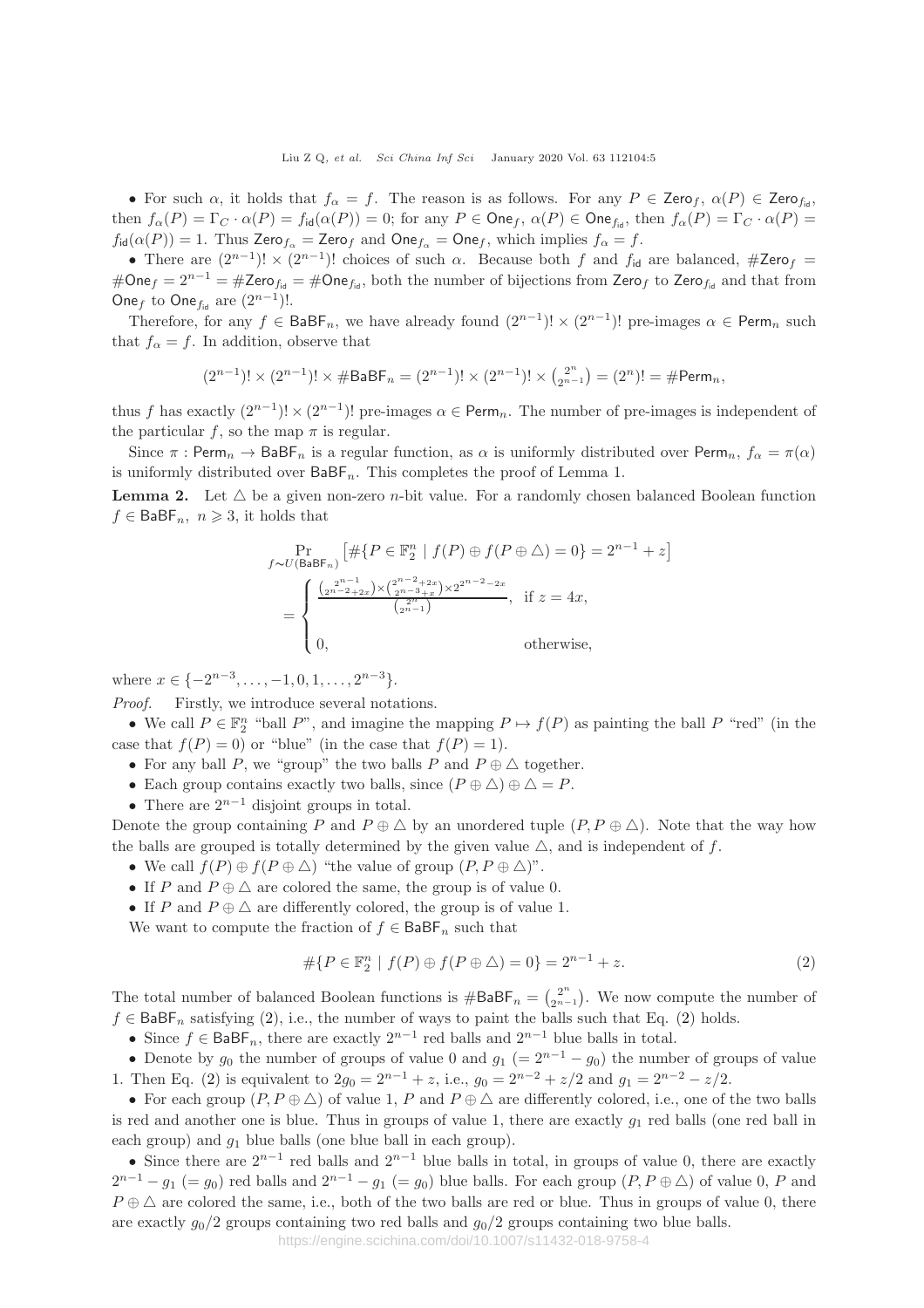Liu Z Q, et al. Sci China Inf Sci January 2020 Vol. 63 112104:5

• For such  $\alpha$ , it holds that  $f_{\alpha} = f$ . The reason is as follows. For any  $P \in \text{Zero}_{f_{\alpha}}$ ,  $\alpha(P) \in \text{Zero}_{f_{\alpha}}$ , then  $f_{\alpha}(P) = \Gamma_C \cdot \alpha(P) = f_{\text{id}}(\alpha(P)) = 0$ ; for any  $P \in \text{One}_{f, \alpha}(P) \in \text{One}_{f_{\text{id}}},$  then  $f_{\alpha}(P) = \Gamma_C \cdot \alpha(P) = \Gamma_C \cdot \alpha(P)$  $f_{\text{id}}(\alpha(P)) = 1$ . Thus Zero $f_{\alpha} =$  Zero $f_{\alpha}$  and One $f_{\alpha} =$  One $f$ , which implies  $f_{\alpha} = f$ .

• There are  $(2^{n-1})! \times (2^{n-1})!$  choices of such  $\alpha$ . Because both f and  $f_{id}$  are balanced,  $\#\text{Zero}_f$  = #One<sub>f</sub> =  $2^{n-1}$  = #Zero<sub>fid</sub> = #One<sub>fid</sub>, both the number of bijections from Zero<sub>f</sub> to Zero<sub>fid</sub> and that from One<sub>f</sub> to One<sub>f<sub>id</sub> are  $(2^{n-1})!$ .</sub>

Therefore, for any  $f \in \text{BaBF}_n$ , we have already found  $(2^{n-1})! \times (2^{n-1})!$  pre-images  $\alpha \in \text{Perm}_n$  such that  $f_{\alpha} = f$ . In addition, observe that

$$
(2^{n-1})! \times (2^{n-1})! \times \# \mathsf{BaBF}_n = (2^{n-1})! \times (2^{n-1})! \times \tbinom{2^n}{2^{n-1}} = (2^n)! = \# \mathsf{Perm}_n,
$$

thus f has exactly  $(2^{n-1})! \times (2^{n-1})!$  pre-images  $\alpha \in \text{Perm}_n$ . The number of pre-images is independent of the particular f, so the map  $\pi$  is regular.

Since  $\pi$ : Perm<sub>n</sub>  $\rightarrow$  BaBF<sub>n</sub> is a regular function, as  $\alpha$  is uniformly distributed over Perm<sub>n</sub>,  $f_{\alpha} = \pi(\alpha)$ is uniformly distributed over  $\mathsf{BaBF}_n$ . This completes the proof of Lemma 1.

**Lemma 2.** Let  $\triangle$  be a given non-zero *n*-bit value. For a randomly chosen balanced Boolean function  $f \in \mathsf{BaBF}_n$ ,  $n \geqslant 3$ , it holds that

$$
\Pr_{f \sim U(\text{BaBF}_n)} \left[ \# \{ P \in \mathbb{F}_2^n \mid f(P) \oplus f(P \oplus \triangle) = 0 \} = 2^{n-1} + z \right]
$$
\n
$$
= \begin{cases} \frac{\binom{2^{n-1}}{2^{n-2}+2x} \times \binom{2^{n-2}+2x}{2^{n-3}+x} \times 2^{2^{n-2}-2x}}{\binom{2^n}{2^{n-1}}}, & \text{if } z = 4x, \\ 0, & \text{otherwise,} \end{cases}
$$

where  $x \in \{-2^{n-3}, \ldots, -1, 0, 1, \ldots, 2^{n-3}\}.$ 

Proof. Firstly, we introduce several notations.

• We call  $P \in \mathbb{F}_2^n$  "ball P", and imagine the mapping  $P \mapsto f(P)$  as painting the ball P "red" (in the case that  $f(P) = 0$  or "blue" (in the case that  $f(P) = 1$ ).

- For any ball P, we "group" the two balls P and  $P \oplus \Delta$  together.
- Each group contains exactly two balls, since  $(P \oplus \triangle) \oplus \triangle = P$ .
- There are  $2^{n-1}$  disjoint groups in total.

Denote the group containing P and  $P \oplus \triangle$  by an unordered tuple  $(P, P \oplus \triangle)$ . Note that the way how the balls are grouped is totally determined by the given value  $\triangle$ , and is independent of f.

- We call  $f(P) \oplus f(P \oplus \triangle)$  "the value of group  $(P, P \oplus \triangle)$ ".
- If P and  $P \oplus \Delta$  are colored the same, the group is of value 0.
- If P and  $P \oplus \Delta$  are differently colored, the group is of value 1.

We want to compute the fraction of  $f \in \mathsf{BaBF}_n$  such that

$$
\# \{ P \in \mathbb{F}_2^n \mid f(P) \oplus f(P \oplus \triangle) = 0 \} = 2^{n-1} + z. \tag{2}
$$

The total number of balanced Boolean functions is  $\#\textsf{BaBF}_n = \binom{2^n}{2^{n-1}}$ . We now compute the number of  $f \in \text{BaBF}_n$  satisfying (2), i.e., the number of ways to paint the balls such that Eq. (2) holds.

• Since  $f \in \mathsf{BaBF}_n$ , there are exactly  $2^{n-1}$  red balls and  $2^{n-1}$  blue balls in total.

• Denote by  $g_0$  the number of groups of value 0 and  $g_1$  (=  $2^{n-1} - g_0$ ) the number of groups of value 1. Then Eq. (2) is equivalent to  $2g_0 = 2^{n-1} + z$ , i.e.,  $g_0 = 2^{n-2} + z/2$  and  $g_1 = 2^{n-2} - z/2$ .

• For each group  $(P, P \oplus \triangle)$  of value 1, P and  $P \oplus \triangle$  are differently colored, i.e., one of the two balls is red and another one is blue. Thus in groups of value 1, there are exactly  $g_1$  red balls (one red ball in each group) and  $g_1$  blue balls (one blue ball in each group).

• Since there are  $2^{n-1}$  red balls and  $2^{n-1}$  blue balls in total, in groups of value 0, there are exactly  $2^{n-1} - g_1 (= g_0)$  red balls and  $2^{n-1} - g_1 (= g_0)$  blue balls. For each group  $(P, P \oplus \triangle)$  of value 0, P and  $P \oplus \Delta$  are colored the same, i.e., both of the two balls are red or blue. Thus in groups of value 0, there are exactly  $g_0/2$  groups containing two red balls and  $g_0/2$  groups containing two blue balls.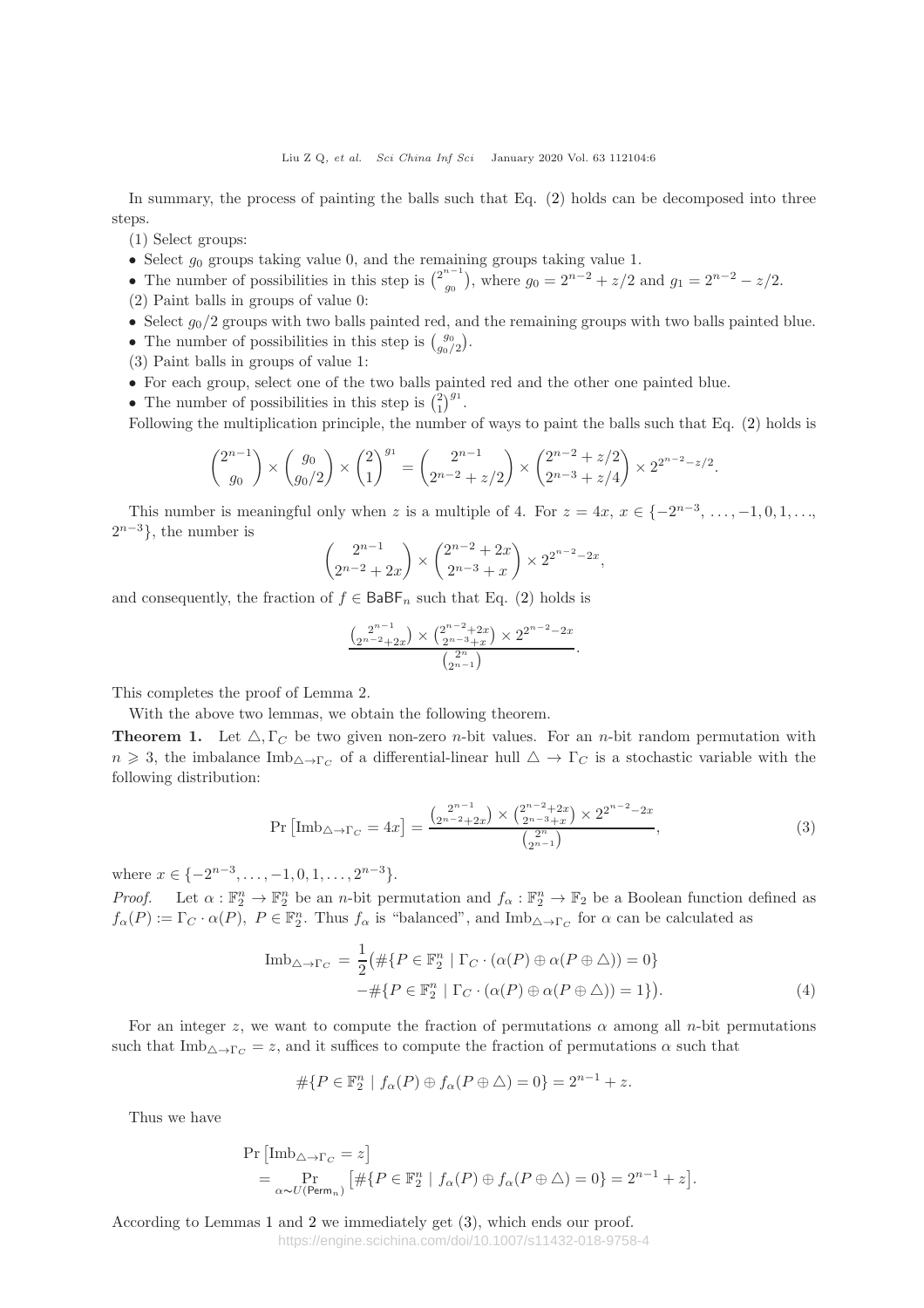In summary, the process of painting the balls such that Eq. (2) holds can be decomposed into three steps.

(1) Select groups:

- Select  $g_0$  groups taking value 0, and the remaining groups taking value 1.
- The number of possibilities in this step is  $\binom{2^{n-1}}{g_0}$  $g_0^{n-1}$ , where  $g_0 = 2^{n-2} + z/2$  and  $g_1 = 2^{n-2} - z/2$ . (2) Paint balls in groups of value 0:
- Select  $g_0/2$  groups with two balls painted red, and the remaining groups with two balls painted blue.
- The number of possibilities in this step is  $\binom{g_0}{g_0/2}$ .
- (3) Paint balls in groups of value 1:
- For each group, select one of the two balls painted red and the other one painted blue.
- The number of possibilities in this step is  $\binom{2}{1}^{g_1}$ .
- Following the multiplication principle, the number of ways to paint the balls such that Eq. (2) holds is

$$
\binom{2^{n-1}}{g_0} \times \binom{g_0}{g_0/2} \times \binom{2}{1}^{g_1} = \binom{2^{n-1}}{2^{n-2} + z/2} \times \binom{2^{n-2} + z/2}{2^{n-3} + z/4} \times 2^{2^{n-2} - z/2}.
$$

This number is meaningful only when z is a multiple of 4. For  $z = 4x$ ,  $x \in \{-2^{n-3}, \ldots, -1, 0, 1, \ldots, \}$  $2^{n-3}$ , the number is

$$
\binom{2^{n-1}}{2^{n-2}+2x} \times \binom{2^{n-2}+2x}{2^{n-3}+x} \times 2^{2^{n-2}-2x},
$$

and consequently, the fraction of  $f \in \mathsf{BaBF}_n$  such that Eq. (2) holds is

$$
\frac{\binom{2^{n-1}}{2^{n-2}+2x} \times \binom{2^{n-2}+2x}{2^{n-3}+x} \times 2^{2^{n-2}-2x}}{\binom{2^n}{2^{n-1}}}.
$$

This completes the proof of Lemma 2.

With the above two lemmas, we obtain the following theorem.

**Theorem 1.** Let  $\triangle$ ,  $\Gamma_C$  be two given non-zero *n*-bit values. For an *n*-bit random permutation with  $n \geq 3$ , the imbalance  $\text{Im}b_{\Delta \to \Gamma_C}$  of a differential-linear hull  $\Delta \to \Gamma_C$  is a stochastic variable with the following distribution:

$$
\Pr\left[\text{Imb}_{\triangle \to \Gamma_C} = 4x\right] = \frac{\binom{2^{n-1}}{2^{n-2}+2x} \times \binom{2^{n-2}+2x}{2^{n-3}+x} \times 2^{2^{n-2}-2x}}{\binom{2^n}{2^{n-1}}},\tag{3}
$$

where  $x \in \{-2^{n-3}, \ldots, -1, 0, 1, \ldots, 2^{n-3}\}.$ 

Proof. Let  $\alpha : \mathbb{F}_2^n \to \mathbb{F}_2^n$  be an n-bit permutation and  $f_\alpha : \mathbb{F}_2^n \to \mathbb{F}_2$  be a Boolean function defined as  $f_{\alpha}(P) := \Gamma_C \cdot \alpha(P)$ ,  $P \in \mathbb{F}_2^n$ . Thus  $f_{\alpha}$  is "balanced", and  $\text{Im}b_{\Delta \to \Gamma_C}$  for  $\alpha$  can be calculated as

$$
\text{Imb}_{\triangle \to \Gamma_C} = \frac{1}{2} \big( \# \{ P \in \mathbb{F}_2^n \mid \Gamma_C \cdot (\alpha(P) \oplus \alpha(P \oplus \triangle)) = 0 \} - \# \{ P \in \mathbb{F}_2^n \mid \Gamma_C \cdot (\alpha(P) \oplus \alpha(P \oplus \triangle)) = 1 \} \big).
$$
\n(4)

For an integer z, we want to compute the fraction of permutations  $\alpha$  among all n-bit permutations such that  $\text{Im}b_{\Delta\rightarrow\Gamma_C}=z$ , and it suffices to compute the fraction of permutations  $\alpha$  such that

$$
\#\{P \in \mathbb{F}_2^n \mid f_\alpha(P) \oplus f_\alpha(P \oplus \triangle) = 0\} = 2^{n-1} + z.
$$

Thus we have

$$
\Pr\left[\text{Imb}_{\triangle \to \Gamma_C} = z\right]
$$
  
= 
$$
\Pr_{\alpha \sim U(\text{Perm}_n)} \left[ \# \{ P \in \mathbb{F}_2^n \mid f_\alpha(P) \oplus f_\alpha(P \oplus \triangle) = 0 \} = 2^{n-1} + z \right].
$$

According to Lemmas 1 and 2 we immediately get (3), which ends our proof.

https://engine.scichina.com/doi/10.1007/s11432-018-9758-4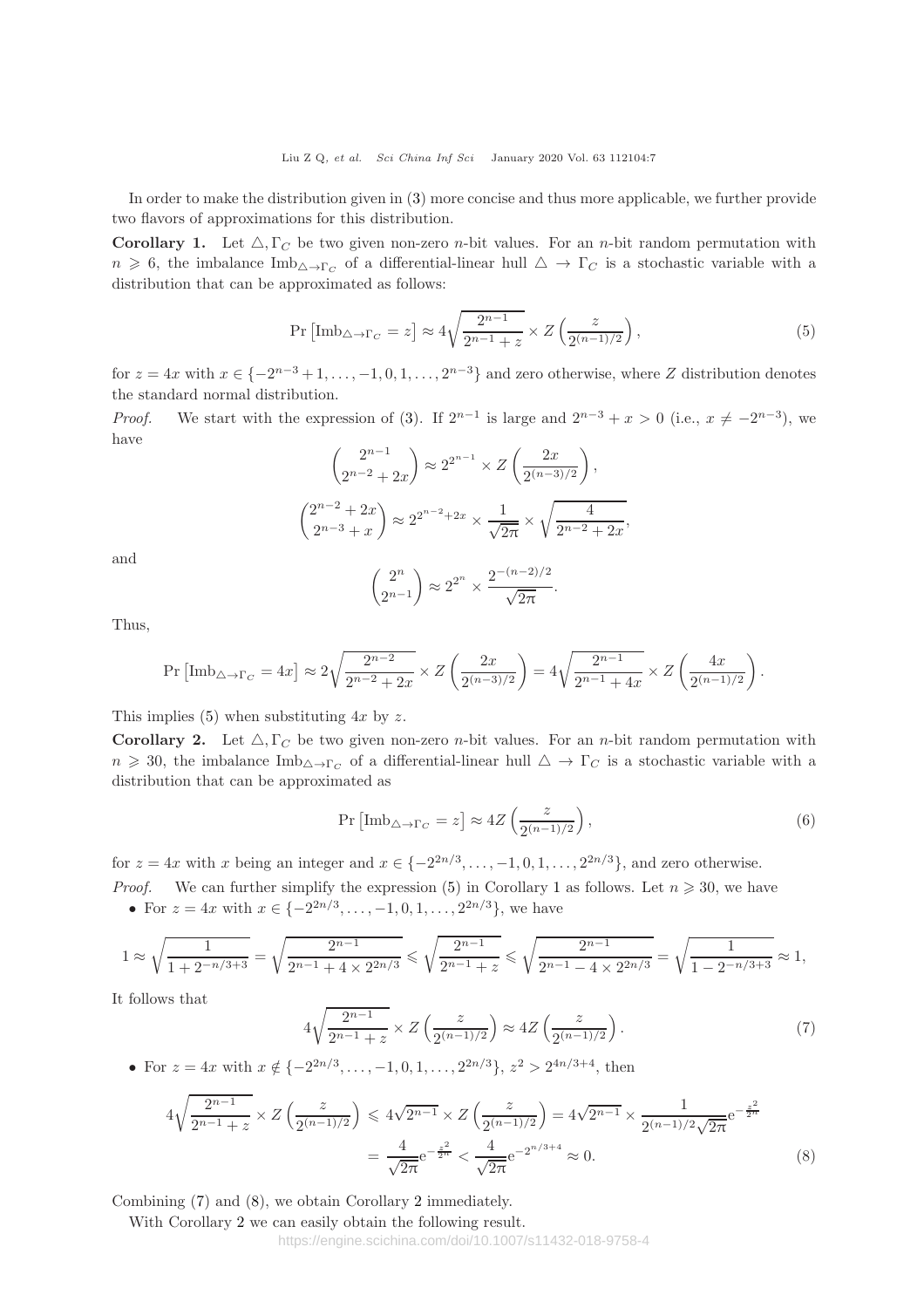In order to make the distribution given in (3) more concise and thus more applicable, we further provide two flavors of approximations for this distribution.

**Corollary 1.** Let  $\triangle$ ,  $\Gamma_C$  be two given non-zero *n*-bit values. For an *n*-bit random permutation with  $n \geq 6$ , the imbalance Imb<sub> $\Delta \to \Gamma_C$ </sub> of a differential-linear hull  $\Delta \to \Gamma_C$  is a stochastic variable with a distribution that can be approximated as follows:

$$
\Pr\left[\text{Imb}_{\triangle \to \Gamma_C} = z\right] \approx 4\sqrt{\frac{2^{n-1}}{2^{n-1} + z}} \times Z\left(\frac{z}{2^{(n-1)/2}}\right),\tag{5}
$$

for  $z = 4x$  with  $x \in \{-2^{n-3}+1, \ldots, -1, 0, 1, \ldots, 2^{n-3}\}\$  and zero otherwise, where Z distribution denotes the standard normal distribution.

*Proof.* We start with the expression of (3). If  $2^{n-1}$  is large and  $2^{n-3} + x > 0$  (i.e.,  $x \neq -2^{n-3}$ ), we have

$$
\binom{2^{n-1}}{2^{n-2}+2x} \approx 2^{2^{n-1}} \times Z\left(\frac{2x}{2^{(n-3)/2}}\right),
$$
  

$$
\binom{2^{n-2}+2x}{2^{n-3}+x} \approx 2^{2^{n-2}+2x} \times \frac{1}{\sqrt{2\pi}} \times \sqrt{\frac{4}{2^{n-2}+2x}},
$$

and

$$
\binom{2^n}{2^{n-1}} \approx 2^{2^n} \times \frac{2^{-(n-2)/2}}{\sqrt{2\pi}}.
$$

Thus,

$$
\Pr\left[\text{Imb}_{\triangle \to \Gamma_C} = 4x\right] \approx 2\sqrt{\frac{2^{n-2}}{2^{n-2} + 2x}} \times Z\left(\frac{2x}{2^{(n-3)/2}}\right) = 4\sqrt{\frac{2^{n-1}}{2^{n-1} + 4x}} \times Z\left(\frac{4x}{2^{(n-1)/2}}\right).
$$

This implies (5) when substituting  $4x$  by z.

**Corollary 2.** Let  $\triangle$ ,  $\Gamma_C$  be two given non-zero *n*-bit values. For an *n*-bit random permutation with  $n \geq 30$ , the imbalance Imb<sub> $\Delta \to \Gamma_C$ </sub> of a differential-linear hull  $\Delta \to \Gamma_C$  is a stochastic variable with a distribution that can be approximated as

$$
\Pr\left[\text{Imb}_{\triangle \to \Gamma_C} = z\right] \approx 4Z \left(\frac{z}{2^{(n-1)/2}}\right),\tag{6}
$$

for  $z = 4x$  with x being an integer and  $x \in \{-2^{2n/3}, \ldots, -1, 0, 1, \ldots, 2^{2n/3}\}\)$ , and zero otherwise. *Proof.* We can further simplify the expression (5) in Corollary 1 as follows. Let  $n \geq 30$ , we have • For  $z = 4x$  with  $x \in \{-2^{2n/3}, \ldots, -1, 0, 1, \ldots, 2^{2n/3}\},$  we have

$$
1 \approx \sqrt{\frac{1}{1 + 2^{-n/3 + 3}}} = \sqrt{\frac{2^{n-1}}{2^{n-1} + 4 \times 2^{2n/3}}} \le \sqrt{\frac{2^{n-1}}{2^{n-1} + 2}} \le \sqrt{\frac{2^{n-1}}{2^{n-1} - 4 \times 2^{2n/3}}} = \sqrt{\frac{1}{1 - 2^{-n/3 + 3}}} \approx 1,
$$

It follows that

$$
4\sqrt{\frac{2^{n-1}}{2^{n-1}+z}} \times Z\left(\frac{z}{2^{(n-1)/2}}\right) \approx 4Z\left(\frac{z}{2^{(n-1)/2}}\right). \tag{7}
$$

• For  $z = 4x$  with  $x \notin \{-2^{2n/3}, \ldots, -1, 0, 1, \ldots, 2^{2n/3}\}, z^2 > 2^{4n/3+4}$ , then

$$
4\sqrt{\frac{2^{n-1}}{2^{n-1}+z}} \times Z\left(\frac{z}{2^{(n-1)/2}}\right) \leq 4\sqrt{2^{n-1}} \times Z\left(\frac{z}{2^{(n-1)/2}}\right) = 4\sqrt{2^{n-1}} \times \frac{1}{2^{(n-1)/2}\sqrt{2\pi}} e^{-\frac{z^2}{2\pi}}
$$

$$
= \frac{4}{\sqrt{2\pi}} e^{-\frac{z^2}{2\pi}} < \frac{4}{\sqrt{2\pi}} e^{-2^{n/3+4}} \approx 0.
$$
(8)

Combining (7) and (8), we obtain Corollary 2 immediately.

With Corollary 2 we can easily obtain the following result.

https://engine.scichina.com/doi/10.1007/s11432-018-9758-4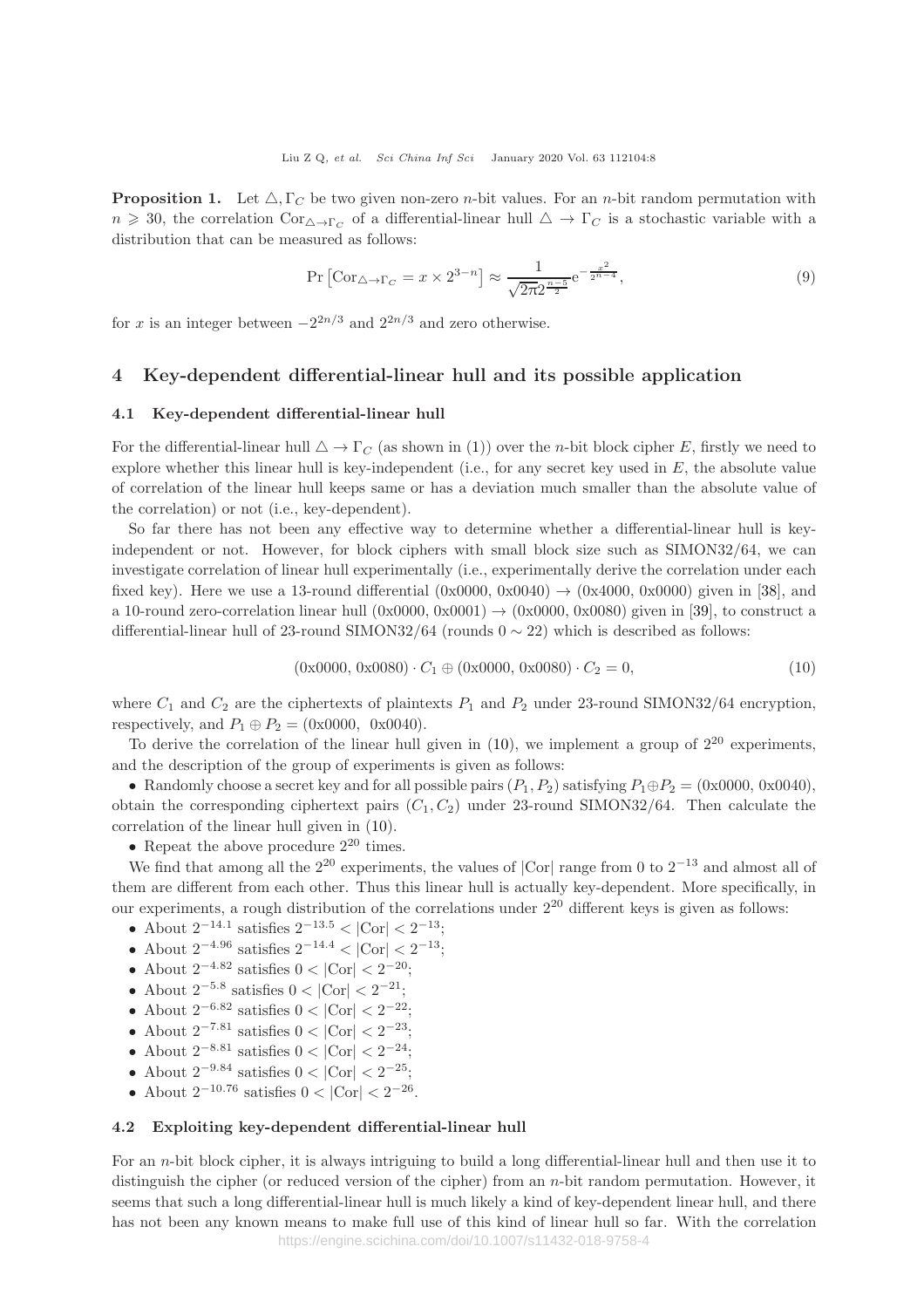**Proposition 1.** Let  $\triangle$ ,  $\Gamma_C$  be two given non-zero *n*-bit values. For an *n*-bit random permutation with  $n \geq 30$ , the correlation  $Cor_{\Delta \to \Gamma_C}$  of a differential-linear hull  $\Delta \to \Gamma_C$  is a stochastic variable with a distribution that can be measured as follows:

$$
\Pr\left[\text{Cor}_{\triangle \to \Gamma_C} = x \times 2^{3-n}\right] \approx \frac{1}{\sqrt{2\pi}2^{\frac{n-5}{2}}} e^{-\frac{x^2}{2^{n-4}}},\tag{9}
$$

for x is an integer between  $-2^{2n/3}$  and  $2^{2n/3}$  and zero otherwise.

# 4 Key-dependent differential-linear hull and its possible application

#### 4.1 Key-dependent differential-linear hull

For the differential-linear hull  $\Delta \to \Gamma_C$  (as shown in (1)) over the *n*-bit block cipher E, firstly we need to explore whether this linear hull is key-independent (i.e., for any secret key used in  $E$ , the absolute value of correlation of the linear hull keeps same or has a deviation much smaller than the absolute value of the correlation) or not (i.e., key-dependent).

So far there has not been any effective way to determine whether a differential-linear hull is keyindependent or not. However, for block ciphers with small block size such as SIMON32/64, we can investigate correlation of linear hull experimentally (i.e., experimentally derive the correlation under each fixed key). Here we use a 13-round differential  $(0x0000, 0x0040) \rightarrow (0x4000, 0x0000)$  given in [38], and a 10-round zero-correlation linear hull  $(0x0000, 0x0001) \rightarrow (0x0000, 0x0080)$  given in [39], to construct a differential-linear hull of 23-round SIMON32/64 (rounds  $0 \sim 22$ ) which is described as follows:

$$
(0x0000, 0x0080) \cdot C_1 \oplus (0x0000, 0x0080) \cdot C_2 = 0,
$$
\n(10)

where  $C_1$  and  $C_2$  are the ciphertexts of plaintexts  $P_1$  and  $P_2$  under 23-round SIMON32/64 encryption, respectively, and  $P_1 \oplus P_2 = (0 \times 0000, 0 \times 0040)$ .

To derive the correlation of the linear hull given in  $(10)$ , we implement a group of  $2^{20}$  experiments, and the description of the group of experiments is given as follows:

• Randomly choose a secret key and for all possible pairs  $(P_1, P_2)$  satisfying  $P_1 \oplus P_2 = (0 \times 0000, 0 \times 0040)$ , obtain the corresponding ciphertext pairs  $(C_1, C_2)$  under 23-round SIMON32/64. Then calculate the correlation of the linear hull given in (10).

• Repeat the above procedure  $2^{20}$  times.

We find that among all the  $2^{20}$  experiments, the values of  $|Cor|$  range from 0 to  $2^{-13}$  and almost all of them are different from each other. Thus this linear hull is actually key-dependent. More specifically, in our experiments, a rough distribution of the correlations under  $2^{20}$  different keys is given as follows:

- About  $2^{-14.1}$  satisfies  $2^{-13.5} < |\text{Cor}| < 2^{-13}$ ;
- About  $2^{-4.96}$  satisfies  $2^{-14.4} < |\text{Cor}| < 2^{-13}$ ;
- About  $2^{-4.82}$  satisfies  $0 < |Cor| < 2^{-20}$ ;
- About  $2^{-5.8}$  satisfies  $0 < |Cor| < 2^{-21}$ ;
- About  $2^{-6.82}$  satisfies  $0 < |Cor| < 2^{-22}$ ;
- About  $2^{-7.81}$  satisfies  $0 < |Cor| < 2^{-23}$ ;
- About  $2^{-8.81}$  satisfies  $0 < |Cor| < 2^{-24}$ ;
- About  $2^{-9.84}$  satisfies  $0 < |Cor| < 2^{-25}$ ;
- About  $2^{-10.76}$  satisfies  $0 < |\text{Cor}| < 2^{-26}$ .

### 4.2 Exploiting key-dependent differential-linear hull

For an n-bit block cipher, it is always intriguing to build a long differential-linear hull and then use it to distinguish the cipher (or reduced version of the cipher) from an n-bit random permutation. However, it seems that such a long differential-linear hull is much likely a kind of key-dependent linear hull, and there has not been any known means to make full use of this kind of linear hull so far. With the correlation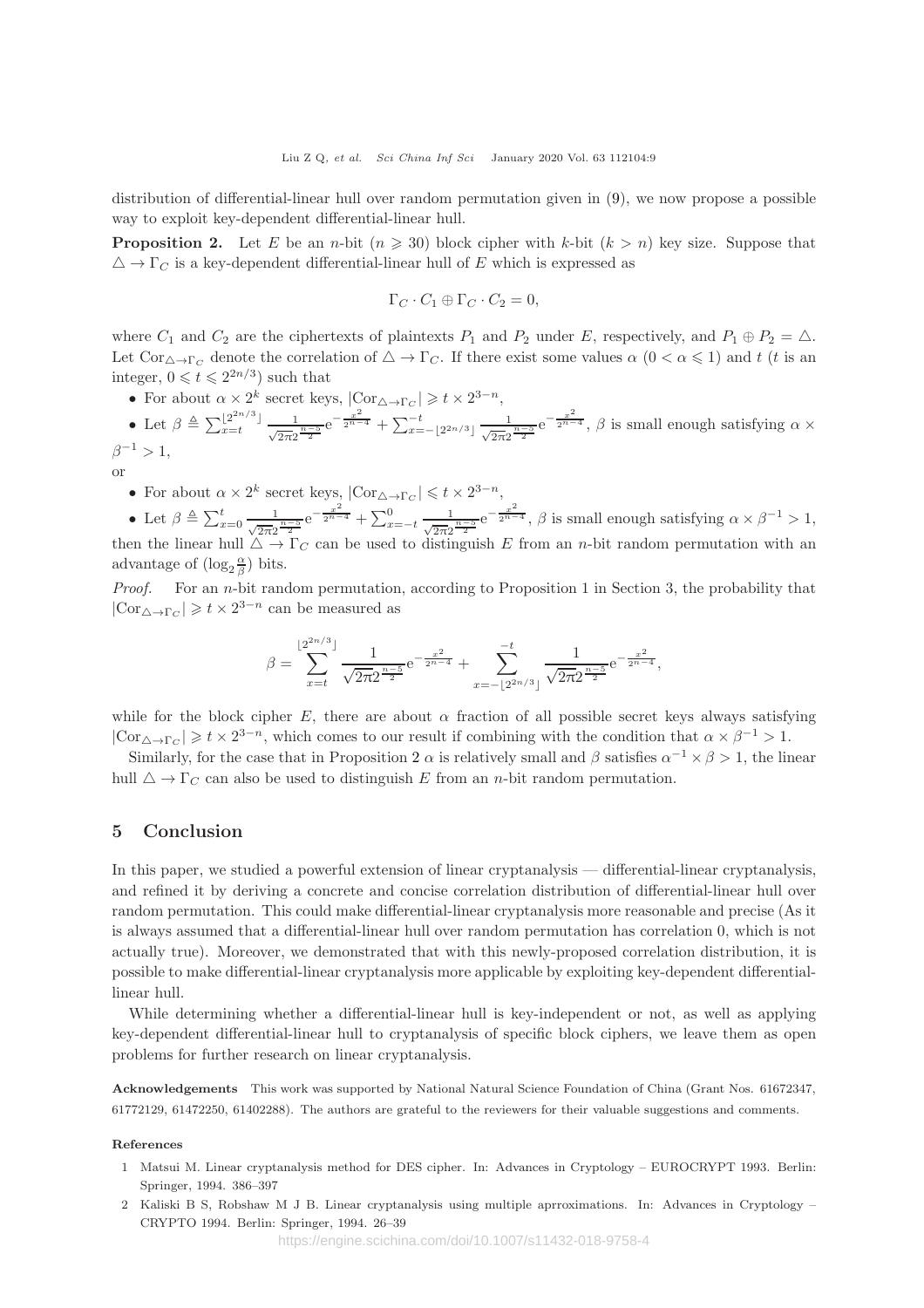distribution of differential-linear hull over random permutation given in (9), we now propose a possible way to exploit key-dependent differential-linear hull.

**Proposition 2.** Let E be an n-bit  $(n \geq 30)$  block cipher with k-bit  $(k > n)$  key size. Suppose that  $\triangle \rightarrow \Gamma_C$  is a key-dependent differential-linear hull of E which is expressed as

$$
\Gamma_C \cdot C_1 \oplus \Gamma_C \cdot C_2 = 0,
$$

where  $C_1$  and  $C_2$  are the ciphertexts of plaintexts  $P_1$  and  $P_2$  under E, respectively, and  $P_1 \oplus P_2 = \triangle$ . Let  $Cor_{\Delta \to \Gamma_C}$  denote the correlation of  $\Delta \to \Gamma_C$ . If there exist some values  $\alpha$  ( $0 < \alpha \leq 1$ ) and t (t is an integer,  $0 \leq t \leq 2^{2n/3}$  such that

• For about  $\alpha \times 2^k$  secret keys,  $|\text{Cor}_{\triangle \to \Gamma_C}| \geq t \times 2^{3-n}$ ,

• Let 
$$
\beta \triangleq \sum_{x=t}^{\lfloor 2^{2n/3} \rfloor} \frac{1}{\sqrt{2\pi}2^{\frac{n-5}{2}}} e^{-\frac{x^2}{2^{n-4}}} + \sum_{x=-\lfloor 2^{2n/3} \rfloor}^{\infty} \frac{1}{\sqrt{2\pi}2^{\frac{n-5}{2}}} e^{-\frac{x^2}{2^{n-4}}}, \beta
$$
 is small enough satisfying  $\alpha \times \beta^{-1} > 1$ ,

or

• For about  $\alpha \times 2^k$  secret keys,  $|\text{Cor}_{\triangle \to \Gamma_C}| \leq t \times 2^{3-n}$ ,

• Let  $\beta \triangleq \sum_{x=0}^{t} \frac{1}{\sqrt{2\pi}2^{\frac{n-5}{2}}} e^{-\frac{x^2}{2^{n-4}}} + \sum_{x=-t}^{0} \frac{1}{\sqrt{2\pi}2^{\frac{n-5}{2}}} e^{-\frac{x^2}{2^{n-4}}}, \beta$  is small enough satisfying  $\alpha \times \beta^{-1} > 1$ , then the linear hull  $\Delta \to \Gamma_C$  can be used to distinguish E from an *n*-bit random permutation with an advantage of  $(\log_2 \frac{\alpha}{\beta})$  bits.

Proof. For an n-bit random permutation, according to Proposition 1 in Section 3, the probability that  $|\text{Cor}_{\triangle \to \Gamma_C}| \geq t \times 2^{3-n}$  can be measured as

$$
\beta = \sum_{x=t}^{\lfloor 2^{2n/3} \rfloor} \frac{1}{\sqrt{2\pi} 2^{\frac{n-5}{2}}} e^{-\frac{x^2}{2^{n-4}}} + \sum_{x=-\lfloor 2^{2n/3} \rfloor}^{-t} \frac{1}{\sqrt{2\pi} 2^{\frac{n-5}{2}}} e^{-\frac{x^2}{2^{n-4}}},
$$

while for the block cipher E, there are about  $\alpha$  fraction of all possible secret keys always satisfying  $|\text{Cor}_{\Delta \to \Gamma_C}| \geq t \times 2^{3-n}$ , which comes to our result if combining with the condition that  $\alpha \times \beta^{-1} > 1$ .

Similarly, for the case that in Proposition 2  $\alpha$  is relatively small and  $\beta$  satisfies  $\alpha^{-1} \times \beta > 1$ , the linear hull  $\Delta \to \Gamma_C$  can also be used to distinguish E from an *n*-bit random permutation.

# 5 Conclusion

In this paper, we studied a powerful extension of linear cryptanalysis — differential-linear cryptanalysis, and refined it by deriving a concrete and concise correlation distribution of differential-linear hull over random permutation. This could make differential-linear cryptanalysis more reasonable and precise (As it is always assumed that a differential-linear hull over random permutation has correlation 0, which is not actually true). Moreover, we demonstrated that with this newly-proposed correlation distribution, it is possible to make differential-linear cryptanalysis more applicable by exploiting key-dependent differentiallinear hull.

While determining whether a differential-linear hull is key-independent or not, as well as applying key-dependent differential-linear hull to cryptanalysis of specific block ciphers, we leave them as open problems for further research on linear cryptanalysis.

Acknowledgements This work was supported by National Natural Science Foundation of China (Grant Nos. 61672347, 61772129, 61472250, 61402288). The authors are grateful to the reviewers for their valuable suggestions and comments.

#### References

- 1 Matsui M. Linear cryptanalysis method for DES cipher. In: Advances in Cryptology EUROCRYPT 1993. Berlin: Springer, 1994. 386–397
- 2 Kaliski B S, Robshaw M J B. Linear cryptanalysis using multiple aprroximations. In: Advances in Cryptology CRYPTO 1994. Berlin: Springer, 1994. 26–39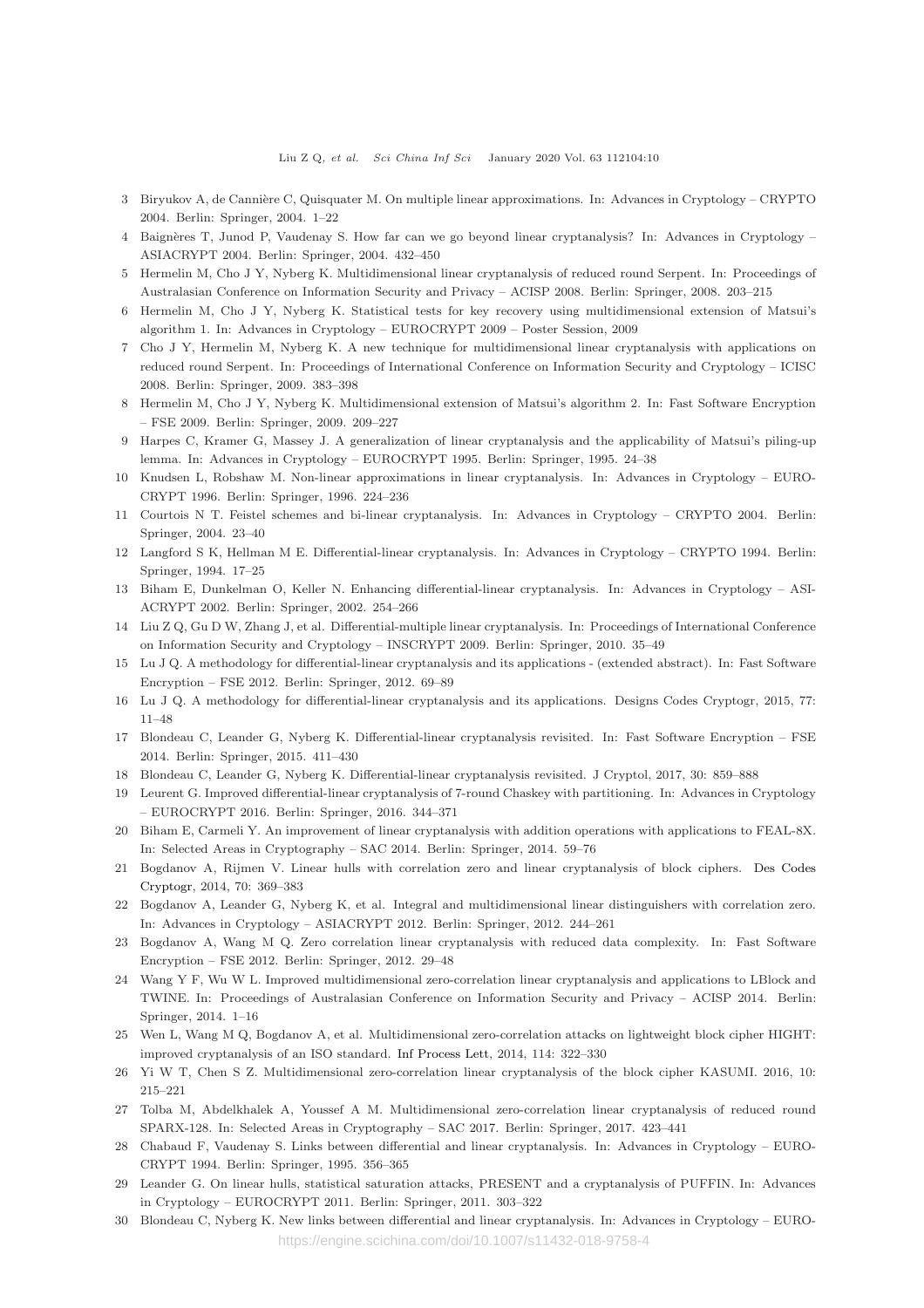- 3 Biryukov A, de Cannière C, Quisquater M. On multiple linear approximations. In: Advances in Cryptology CRYPTO 2004. Berlin: Springer, 2004. 1–22
- 4 Baignères T, Junod P, Vaudenay S. How far can we go beyond linear cryptanalysis? In: Advances in Cryptology ASIACRYPT 2004. Berlin: Springer, 2004. 432–450
- 5 Hermelin M, Cho J Y, Nyberg K. Multidimensional linear cryptanalysis of reduced round Serpent. In: Proceedings of Australasian Conference on Information Security and Privacy – ACISP 2008. Berlin: Springer, 2008. 203–215
- 6 Hermelin M, Cho J Y, Nyberg K. Statistical tests for key recovery using multidimensional extension of Matsui's algorithm 1. In: Advances in Cryptology – EUROCRYPT 2009 – Poster Session, 2009
- 7 Cho J Y, Hermelin M, Nyberg K. A new technique for multidimensional linear cryptanalysis with applications on reduced round Serpent. In: Proceedings of International Conference on Information Security and Cryptology – ICISC 2008. Berlin: Springer, 2009. 383–398
- 8 Hermelin M, Cho J Y, Nyberg K. Multidimensional extension of Matsui's algorithm 2. In: Fast Software Encryption – FSE 2009. Berlin: Springer, 2009. 209–227
- 9 Harpes C, Kramer G, Massey J. A generalization of linear cryptanalysis and the applicability of Matsui's piling-up lemma. In: Advances in Cryptology – EUROCRYPT 1995. Berlin: Springer, 1995. 24–38
- 10 Knudsen L, Robshaw M. Non-linear approximations in linear cryptanalysis. In: Advances in Cryptology EURO-CRYPT 1996. Berlin: Springer, 1996. 224–236
- 11 Courtois N T. Feistel schemes and bi-linear cryptanalysis. In: Advances in Cryptology CRYPTO 2004. Berlin: Springer, 2004. 23–40
- 12 Langford S K, Hellman M E. Differential-linear cryptanalysis. In: Advances in Cryptology CRYPTO 1994. Berlin: Springer, 1994. 17–25
- 13 Biham E, Dunkelman O, Keller N. Enhancing differential-linear cryptanalysis. In: Advances in Cryptology ASI-ACRYPT 2002. Berlin: Springer, 2002. 254–266
- 14 Liu Z Q, Gu D W, Zhang J, et al. Differential-multiple linear cryptanalysis. In: Proceedings of International Conference on Information Security and Cryptology – INSCRYPT 2009. Berlin: Springer, 2010. 35–49
- 15 Lu J Q. A methodology for differential-linear cryptanalysis and its applications (extended abstract). In: Fast Software Encryption – FSE 2012. Berlin: Springer, 2012. 69–89
- 16 Lu J Q. A methodology for differential-linear cryptanalysis and its applications. Designs Codes Cryptogr, 2015, 77: 11–48
- 17 Blondeau C, Leander G, Nyberg K. Differential-linear cryptanalysis revisited. In: Fast Software Encryption FSE 2014. Berlin: Springer, 2015. 411–430
- 18 Blondeau C, Leander G, Nyberg K. Differential-linear cryptanalysis revisited. J Cryptol, 2017, 30: 859–888
- 19 Leurent G. Improved differential-linear cryptanalysis of 7-round Chaskey with partitioning. In: Advances in Cryptology – EUROCRYPT 2016. Berlin: Springer, 2016. 344–371
- 20 Biham E, Carmeli Y. An improvement of linear cryptanalysis with addition operations with applications to FEAL-8X. In: Selected Areas in Cryptography – SAC 2014. Berlin: Springer, 2014. 59–76
- 21 Bogdanov A, Rijmen V. Linear hulls with correlation zero and linear cryptanalysis of block ciphers. Des Codes Cryptogr, 2014, 70: 369–383
- 22 Bogdanov A, Leander G, Nyberg K, et al. Integral and multidimensional linear distinguishers with correlation zero. In: Advances in Cryptology – ASIACRYPT 2012. Berlin: Springer, 2012. 244–261
- 23 Bogdanov A, Wang M Q. Zero correlation linear cryptanalysis with reduced data complexity. In: Fast Software Encryption – FSE 2012. Berlin: Springer, 2012. 29–48
- 24 Wang Y F, Wu W L. Improved multidimensional zero-correlation linear cryptanalysis and applications to LBlock and TWINE. In: Proceedings of Australasian Conference on Information Security and Privacy – ACISP 2014. Berlin: Springer, 2014. 1–16
- 25 Wen L, Wang M Q, Bogdanov A, et al. Multidimensional zero-correlation attacks on lightweight block cipher HIGHT: improved cryptanalysis of an ISO standard. [Inf Process Lett,](https://doi.org/10.1016/j.ipl.2014.01.007) 2014, 114: 322–330
- 26 Yi W T, Chen S Z. Multidimensional zero-correlation linear cryptanalysis of the block cipher KASUMI. 2016, 10: 215–221
- 27 Tolba M, Abdelkhalek A, Youssef A M. Multidimensional zero-correlation linear cryptanalysis of reduced round SPARX-128. In: Selected Areas in Cryptography – SAC 2017. Berlin: Springer, 2017. 423–441
- 28 Chabaud F, Vaudenay S. Links between differential and linear cryptanalysis. In: Advances in Cryptology EURO-CRYPT 1994. Berlin: Springer, 1995. 356–365
- 29 Leander G. On linear hulls, statistical saturation attacks, PRESENT and a cryptanalysis of PUFFIN. In: Advances in Cryptology – EUROCRYPT 2011. Berlin: Springer, 2011. 303–322
- 30 Blondeau C, Nyberg K. New links between differential and linear cryptanalysis. In: Advances in Cryptology EURO https://engine.scichina.com/doi/10.1007/s11432-018-9758-4